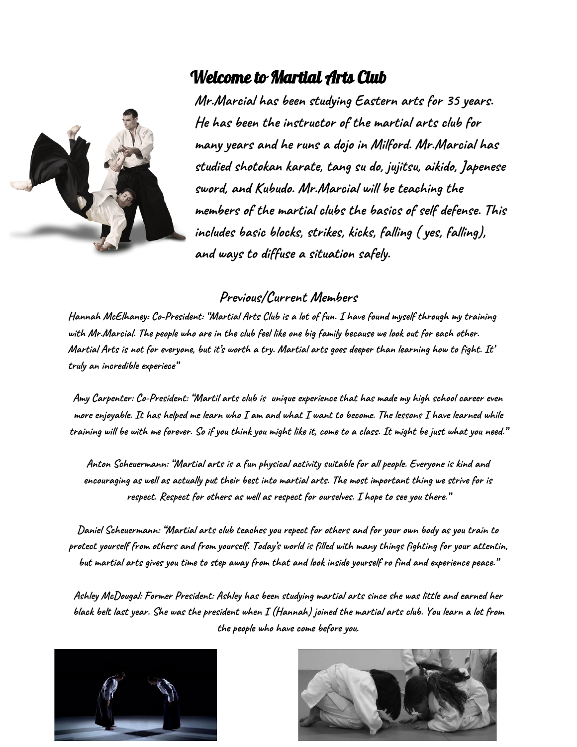## Welcome to Martial Arts Club



**Mr.Marcial has been studying Eastern arts for 35 years. He has been the instructor of the martial arts club for many years and he runs a dojo in Milford. Mr.Marcial has studied shotokan karate, tang su do, jujitsu, aikido, Japenese sword, and Kubudo. Mr.Marcial will be teaching the members of the martial clubs the basics of self defense. This includes basic blocks, strikes, kicks, falling ( yes, falling), and ways to diffuse a situation safely.**

## **Previous/Current Members**

Hannah McElhaney: Co-President: "Martial Arts Club is a lot of fun. I have found myself through my training with Mr.Marcial. The people who are in the club feel like one big family because we look out for each other. Martial Arts is not for everyone, but it's worth a try. Martial arts goes deeper than learning how to fight. It' **truly an incredible experiece"**

Amy Carpenter: Co-President: "Martil arts club is unique experience that has made my high school career even more enjoyable. It has helped me learn who I am and what I want to become. The lessons I have learned while training will be with me forever. So if you think you might like it, come to a class. It might be just what you need."

**Anton Scheuermann: "Martial arts is a fun physical activity suitable for all people. Everyone is kind and** encouraging as well as actually put their best into martial arts. The most important thing we strive for is **respect. Respect for others as well as respect for ourselves. I hope to see you there."**

Daniel Scheuermann: "Martial arts club teaches you repect for others and for your own body as you train to protect yourself from others and from yourself. Today's world is filled with many things fighting for your attentin, but martial arts gives you time to step away from that and look inside yourself ro find and experience peace."

Ashley McDougal: Former President: Ashley has been studying martial arts since she was little and earned her black belt last year. She was the president when  $I$  (Hannah) joined the martial arts club. You learn a lot from **the people who have come before you.**